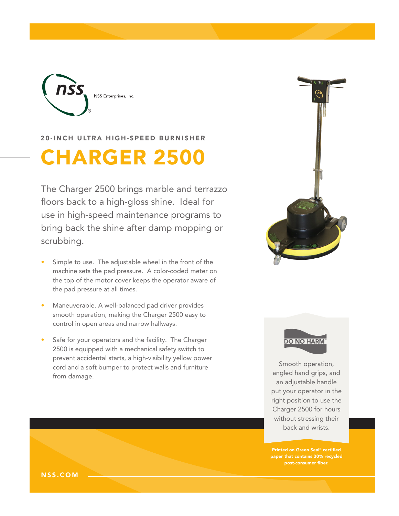

20-INCH ULTRA HIGH-SPEED BURNISHER

# CHARGER 2500

The Charger 2500 brings marble and terrazzo floors back to a high-gloss shine. Ideal for use in high-speed maintenance programs to bring back the shine after damp mopping or scrubbing.

- Simple to use. The adjustable wheel in the front of the machine sets the pad pressure. A color-coded meter on the top of the motor cover keeps the operator aware of the pad pressure at all times.
- Maneuverable. A well-balanced pad driver provides smooth operation, making the Charger 2500 easy to control in open areas and narrow hallways.
- Safe for your operators and the facility. The Charger 2500 is equipped with a mechanical safety switch to prevent accidental starts, a high-visibility yellow power cord and a soft bumper to protect walls and furniture from damage.





Smooth operation, angled hand grips, and an adjustable handle put your operator in the right position to use the Charger 2500 for hours without stressing their back and wrists.

Printed on Green Seal® certified paper that contains 30% recycled post-consumer fiber.